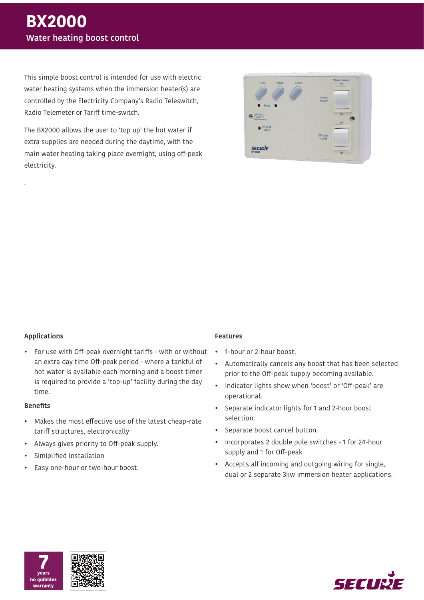This simple boost control is intended for use with electric water heating systems when the immersion heater(s) are controlled by the Electricity Company's Radio Teleswitch, Radio Telemeter or Tariff time-switch.

The BX2000 allows the user to 'top up' the hot water if extra supplies are needed during the daytime, with the main water heating taking place overnight, using off-peak electricity.



## **Applications**

.

• For use with Off-peak overnight tariffs - with or without an extra day time Off-peak period - where a tankful of hot water is available each morning and a boost timer is required to provide a 'top-up' facility during the day time.

### **Benefits**

- Makes the most effective use of the latest cheap-rate tariff structures, electronically
- Always gives priority to Off-peak supply.
- Simiplified installation
- Easy one-hour or two-hour boost.

## **Features**

- 1-hour or 2-hour boost.
- Automatically cancels any boost that has been selected prior to the Off-peak supply becoming available.
- Indicator lights show when 'boost' or 'Off-peak' are operational.
- Separate indicator lights for 1 and 2-hour boost selection.
- Separate boost cancel button.
- Incorporates 2 double pole switches 1 for 24-hour supply and 1 for Off-peak
- Accepts all incoming and outgoing wiring for single, dual or 2 separate 3kw immersion heater applications.